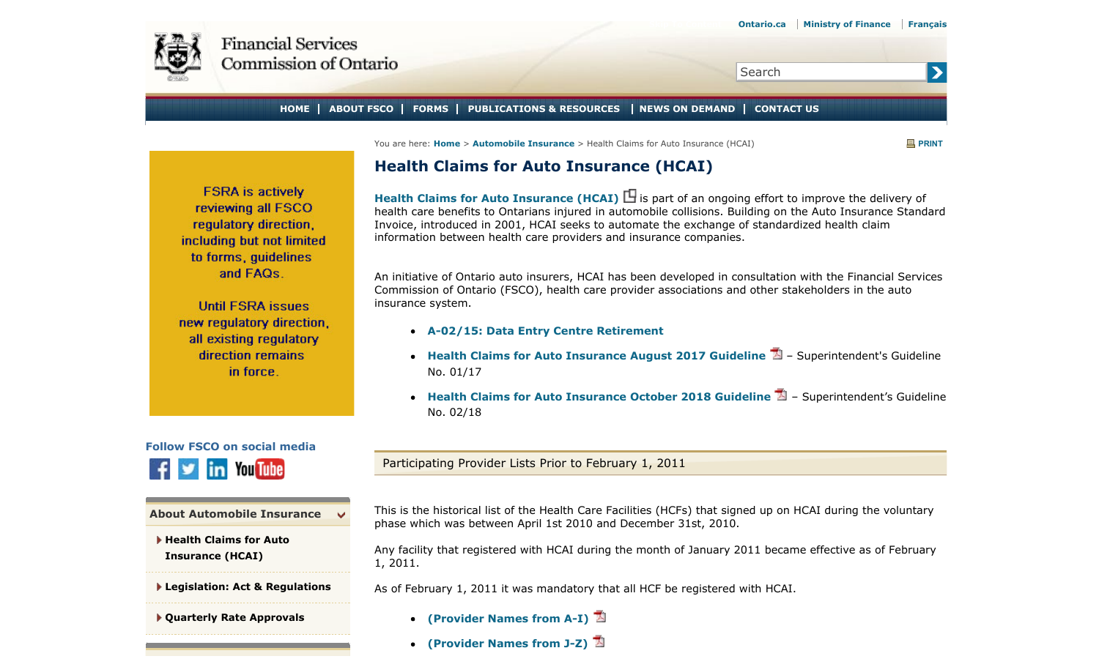<span id="page-0-0"></span>

## Search

**HOME ABOUT FSCO FORMS PUBLICATIONS & RESOURCES NEWS ON DEMAND CONTACT US**

You are here: **Home** > **Automobile Insurance** > Health Claims for Auto Insurance (HCAI) **PRINT**

 $\blacktriangleright$ 

## **Health Claims for Auto Insurance (HCAI)**

**Health Claims for Auto Insurance (HCAI) □** is part of an ongoing effort to improve the delivery of health care benefits to Ontarians injured in automobile collisions. Building on the Auto Insurance Standard Invoice, introduced in 2001, HCAI seeks to automate the exchange of standardized health claim information between health care providers and insurance companies.

An initiative of Ontario auto insurers, HCAI has been developed in consultation with the Financial Services Commission of Ontario (FSCO), health care provider associations and other stakeholders in the auto insurance system.

- **A-02/15: Data Entry Centre Retirement**
- **Health Claims for Auto Insurance August 2017 Guideline** Superintendent's Guideline No. 01/17
- **Health Claims for Auto Insurance October 2018 Guideline** Superintendent's Guideline No. 02/18

**Follow FSCO on social media You Tube** 

**FSRA** is actively reviewing all FSCO regulatory direction. including but not limited to forms, quidelines and FAQs.

**Until FSRA issues** new regulatory direction. all existing regulatory direction remains in force.

**[About Automobile Insurance](#page-0-0)**  $\checkmark$ 

**[Health Claims for Auto](#page-0-0) [Insurance \(HCAI\)](#page-0-0)**

**Legislation: Act & Regulations**

**Quarterly Rate Approvals**

Participating Provider Lists Prior to February 1, 2011

This is the historical list of the Health Care Facilities (HCFs) that signed up on HCAI during the voluntary phase which was between April 1st 2010 and December 31st, 2010.

Any facility that registered with HCAI during the month of January 2011 became effective as of February 1, 2011.

As of February 1, 2011 it was mandatory that all HCF be registered with HCAI.

- **(Provider Names from A-I)**
- **(Provider Names from J-Z)**